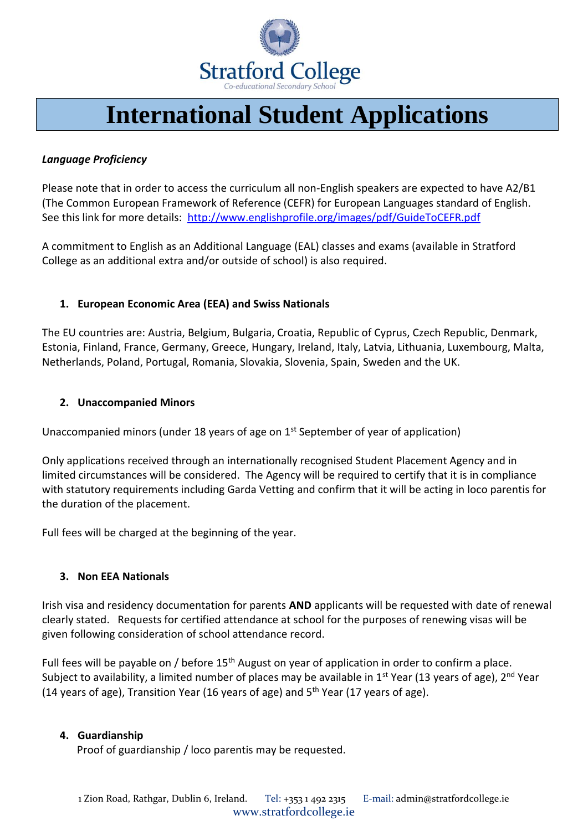

## **International Student Applications**

### *Language Proficiency*

Please note that in order to access the curriculum all non-English speakers are expected to have A2/B1 (The Common European Framework of Reference (CEFR) for European Languages standard of English. See this link for more details:<http://www.englishprofile.org/images/pdf/GuideToCEFR.pdf>

A commitment to English as an Additional Language (EAL) classes and exams (available in Stratford College as an additional extra and/or outside of school) is also required.

#### **1. European Economic Area (EEA) and Swiss Nationals**

The EU countries are: Austria, Belgium, Bulgaria, Croatia, Republic of Cyprus, Czech Republic, Denmark, Estonia, Finland, France, Germany, Greece, Hungary, Ireland, Italy, Latvia, Lithuania, Luxembourg, Malta, Netherlands, Poland, Portugal, Romania, Slovakia, Slovenia, Spain, Sweden and the UK.

#### **2. Unaccompanied Minors**

Unaccompanied minors (under 18 years of age on 1<sup>st</sup> September of year of application)

Only applications received through an internationally recognised Student Placement Agency and in limited circumstances will be considered. The Agency will be required to certify that it is in compliance with statutory requirements including Garda Vetting and confirm that it will be acting in loco parentis for the duration of the placement.

Full fees will be charged at the beginning of the year.

#### **3. Non EEA Nationals**

Irish visa and residency documentation for parents **AND** applicants will be requested with date of renewal clearly stated. Requests for certified attendance at school for the purposes of renewing visas will be given following consideration of school attendance record.

Full fees will be payable on / before 15<sup>th</sup> August on year of application in order to confirm a place. Subject to availability, a limited number of places may be available in  $1<sup>st</sup>$  Year (13 years of age),  $2<sup>nd</sup>$  Year (14 years of age), Transition Year (16 years of age) and  $5<sup>th</sup>$  Year (17 years of age).

#### **4. Guardianship**

Proof of guardianship / loco parentis may be requested.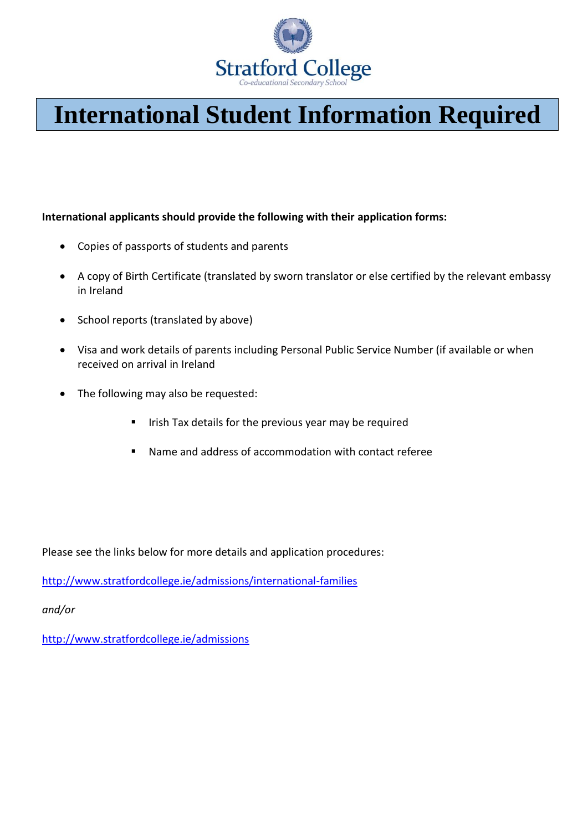

# **International Student Information Required**

**International applicants should provide the following with their application forms:**

- Copies of passports of students and parents
- A copy of Birth Certificate (translated by sworn translator or else certified by the relevant embassy in Ireland
- School reports (translated by above)
- Visa and work details of parents including Personal Public Service Number (if available or when received on arrival in Ireland
- The following may also be requested:
	- **E** Irish Tax details for the previous year may be required
	- Name and address of accommodation with contact referee

Please see the links below for more details and application procedures:

<http://www.stratfordcollege.ie/admissions/international-families>

*and/or*

<http://www.stratfordcollege.ie/admissions>